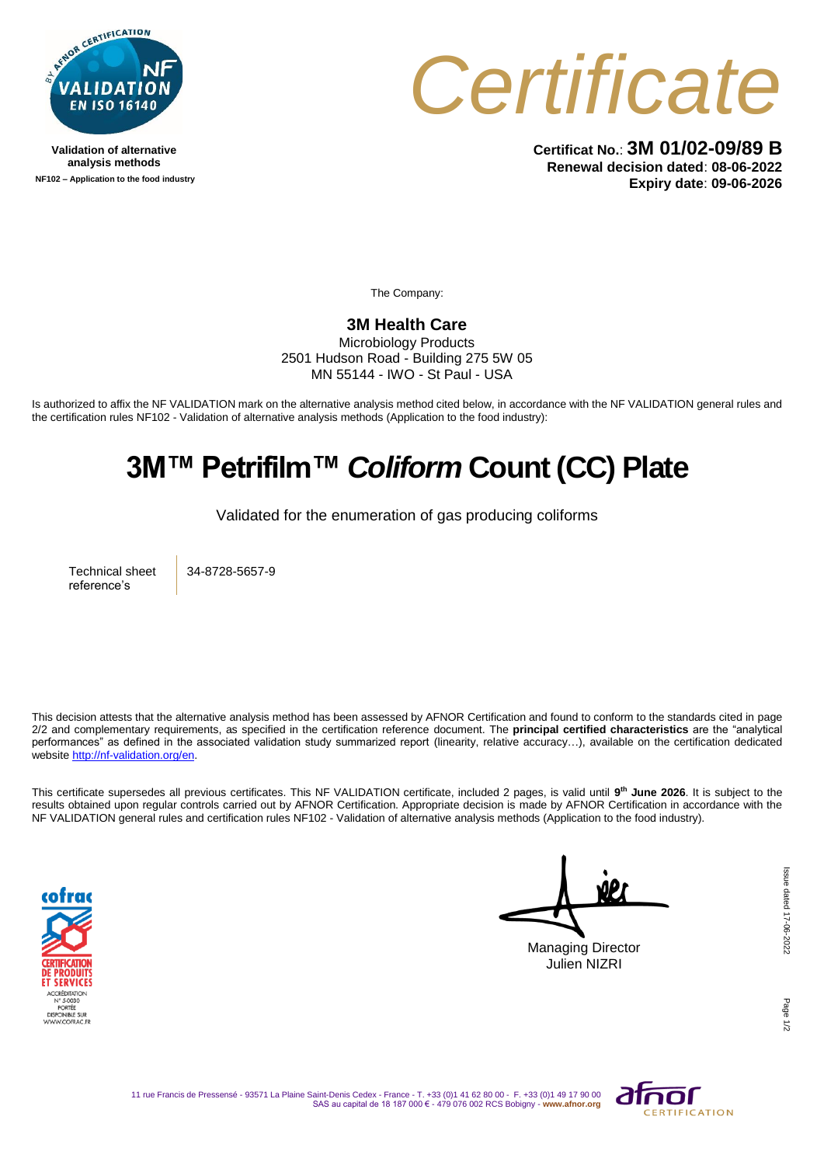

**Validation of alternative analysis methods NF102 – Application to the food industry**



**Certificat No.**: **3M 01/02-09/89 B Renewal decision dated**: **08-06-2022 Expiry date**: **09-06-2026**

The Company:

## **3M Health Care**

Microbiology Products 2501 Hudson Road - Building 275 5W 05 MN 55144 - IWO - St Paul - USA

Is authorized to affix the NF VALIDATION mark on the alternative analysis method cited below, in accordance with the NF VALIDATION general rules and the certification rules NF102 - Validation of alternative analysis methods (Application to the food industry):

## **3M™ Petrifilm™** *Coliform* **Count (CC) Plate**

Validated for the enumeration of gas producing coliforms

Technical sheet reference's

34-8728-5657-9

This decision attests that the alternative analysis method has been assessed by AFNOR Certification and found to conform to the standards cited in page 2/2 and complementary requirements, as specified in the certification reference document. The **principal certified characteristics** are the "analytical performances" as defined in the associated validation study summarized report (linearity, relative accuracy…), available on the certification dedicated websit[e http://nf-validation.org/en.](http://nf-validation.org/en)

This certificate supersedes all previous certificates. This NF VALIDATION certificate, included 2 pages, is valid until **9 th June 2026**. It is subject to the results obtained upon regular controls carried out by AFNOR Certification. Appropriate decision is made by AFNOR Certification in accordance with the NF VALIDATION general rules and certification rules NF102 - Validation of alternative analysis methods (Application to the food industry).



Managing Director Julien NIZRI